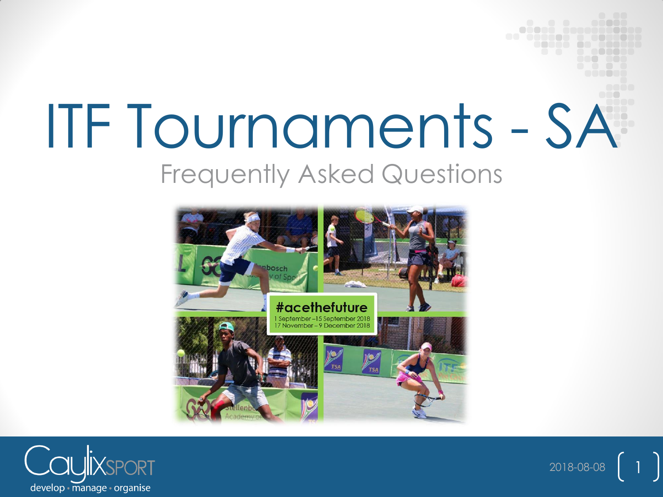# ITF Tournaments - SA Frequently Asked Questions



2018-08-08

**............... ..... .. ...** 

 $\begin{pmatrix} 1 \end{pmatrix}$ 

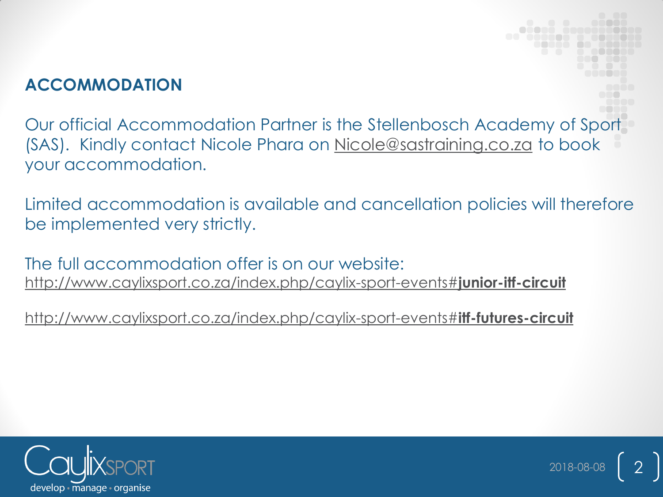# **ACCOMMODATION**

Our official Accommodation Partner is the Stellenbosch Academy of Sport (SAS). Kindly contact Nicole Phara on [Nicole@sastraining.co.za](mailto:Nicole@sastraining.co.za) to book your accommodation.

Limited accommodation is available and cancellation policies will therefore be implemented very strictly.

 $2018-08-08$  2

The full accommodation offer is on our website: [http://www.caylixsport.co.za/index.php/caylix-sport-events#](http://www.caylixsport.co.za/index.php/caylix-sport-events)**[junior-itf-circuit](http://www.caylixsport.co.za/index.php/caylix-sport-events)**

[http://www.caylixsport.co.za/index.php/caylix-sport-events#](http://www.caylixsport.co.za/index.php/caylix-sport-events)**[itf-futures-circuit](http://www.caylixsport.co.za/index.php/caylix-sport-events)**

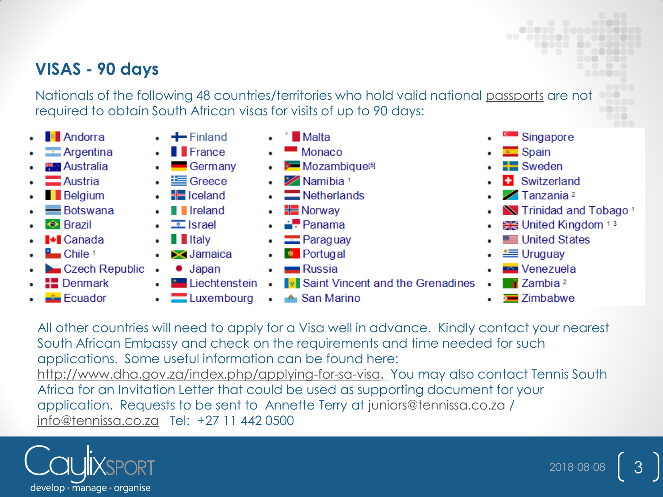## VISAS - 90 days

Nationals of the following 48 countries/territories who hold valid national passports are not required to obtain South African visas for visits of up to 90 days:

- **E** Andorra
- $\blacksquare$  Argentina
- **Australia**
- Austria
- **Belgium**
- Botswana
- $\leftrightarrow$  Brazil
- **I+I** Canada
- $\Box$  Chile 1
- Czech Republic .
- **EDenmark**
- Ecuador
- $\leftarrow$  Finland  $\blacksquare$  France
- Germany
- **i** Greece
- $\equiv$  Iceland
- **I** Ireland
- $\equiv$  Israel
- $\blacksquare$  Italy ٠
- $\blacktriangleright$  Jamaica
- $\bullet$  Japan
	- Liechtenstein •
	- Luxembourg
- **Malta**
- $\blacksquare$  Monaco
- Mozambique<sup>[5]</sup>
- Mamibia<sup>1</sup>
- Netherlands
- **HE** Norway
- $\div$  Panama
- Paraguay
- **Portugal**
- **Russia** 
	- **Iv Saint Vincent and the Grenadines**
- ▲ San Marino  $\bullet$
- Singapore
- $\overline{\phantom{a}}$  Spain
- $\equiv$  Sweden
- Switzerland
- $\sqrt{ }$  Tanzania 2
- N Trinidad and Tobago<sup>1</sup>
- ₩ United Kingdom 13
- United States
- $\equiv$  Uruguay
- **Externe** Venezuela
- $\blacksquare$  Zambia <sup>2</sup>
- **E** Zimbabwe

All other countries will need to apply for a Visa well in advance. Kindly contact your nearest South African Embassy and check on the requirements and time needed for such applications. Some useful information can be found here: http://www.dha.gov.za/index.php/applying-for-sa-visa. You may also contact Tennis South Africa for an Invitation Letter that could be used as supporting document for your application. Requests to be sent to Annette Terry at juniors@tennissa.co.za / info@tennissa.co.za Tel: +27 11 442 0500

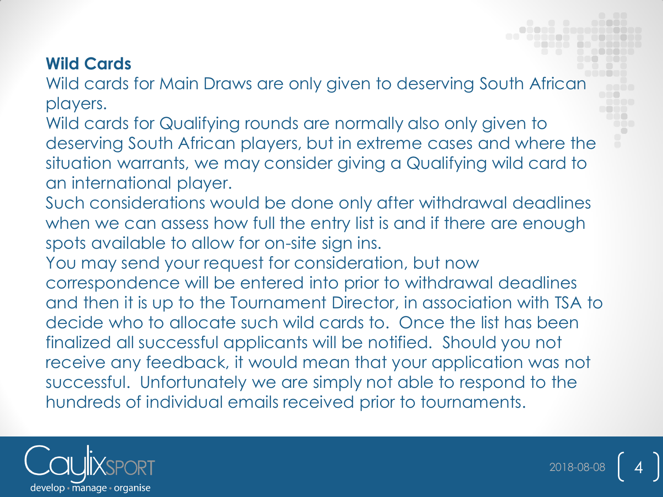#### **Wild Cards**

Wild cards for Main Draws are only given to deserving South African players.

Wild cards for Qualifying rounds are normally also only given to deserving South African players, but in extreme cases and where the situation warrants, we may consider giving a Qualifying wild card to an international player.

Such considerations would be done only after withdrawal deadlines when we can assess how full the entry list is and if there are enough spots available to allow for on-site sign ins.

You may send your request for consideration, but now correspondence will be entered into prior to withdrawal deadlines and then it is up to the Tournament Director, in association with TSA to decide who to allocate such wild cards to. Once the list has been finalized all successful applicants will be notified. Should you not receive any feedback, it would mean that your application was not successful. Unfortunately we are simply not able to respond to the hundreds of individual emails received prior to tournaments.

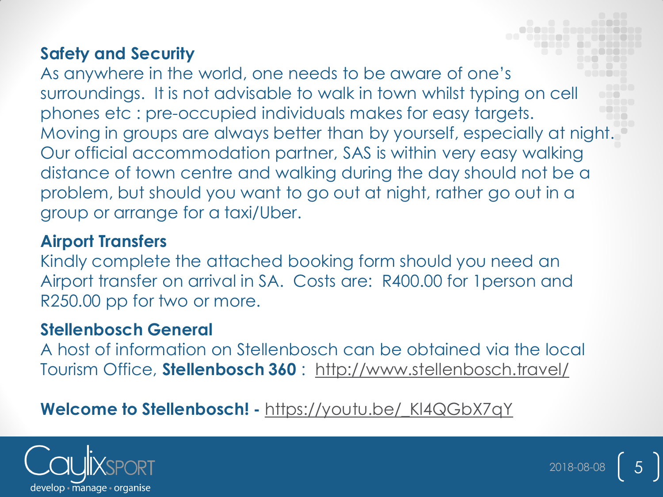#### **Safety and Security**

As anywhere in the world, one needs to be aware of one's surroundings. It is not advisable to walk in town whilst typing on cell phones etc : pre-occupied individuals makes for easy targets. Moving in groups are always better than by yourself, especially at night. Our official accommodation partner, SAS is within very easy walking distance of town centre and walking during the day should not be a problem, but should you want to go out at night, rather go out in a group or arrange for a taxi/Uber.

#### **Airport Transfers**

Kindly complete the attached booking form should you need an Airport transfer on arrival in SA. Costs are: R400.00 for 1person and R250.00 pp for two or more.

## **Stellenbosch General**

A host of information on Stellenbosch can be obtained via the local Tourism Office, **Stellenbosch 360** : <http://www.stellenbosch.travel/>

# **Welcome to Stellenbosch! -** https://youtu.be/ KI4QGbX7qY